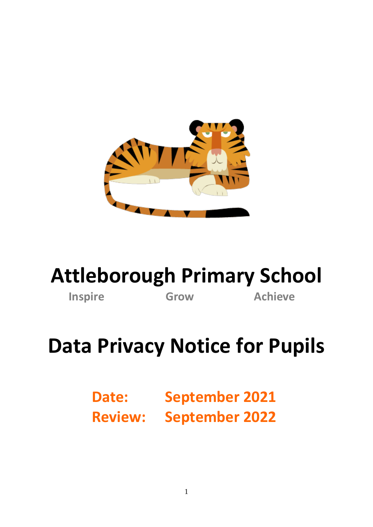

## **Attleborough Primary School**

**Inspire Grow Achieve** 

# **Data Privacy Notice for Pupils**

**Date: September 2021 Review: September 2022**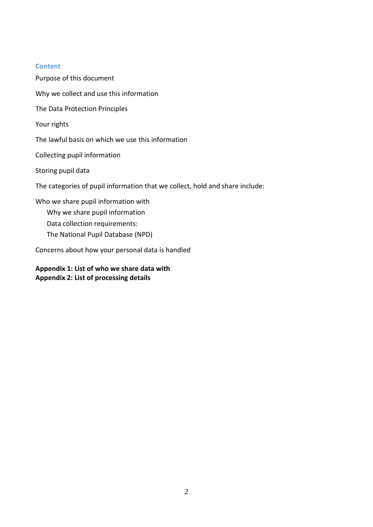#### **Content**

Purpose of this document

[Why we collect and use this information](#page-2-0) [The Data Protection Principles](#page-2-1) [Your rights](#page-3-0) [The lawful basis on which](#page-3-1) we use this information [Collecting pupil information](#page-4-0) [Storing pupil data](#page-4-1) [The categories of pupil information that we collect, hold and share include:](#page-4-2) [Who we share pupil information with](#page-4-3) [Why we share pupil information](#page-5-0) [Data collection requirements:](#page-5-1) [The National Pupil Database \(NPD\)](#page-5-2) [Concerns about how your personal data is handled](#page-6-0)

**[Appendix 1: List of w](#page-7-0)ho we share data with Appendix 2: List of processing details**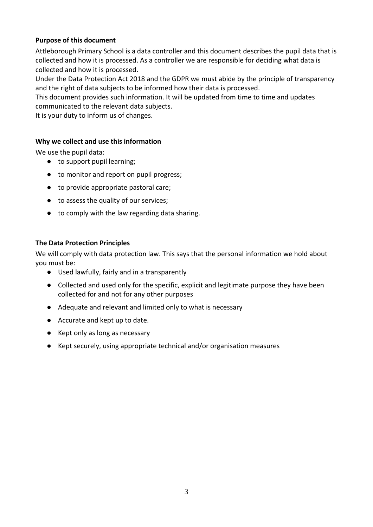#### **Purpose of this document**

Attleborough Primary School is a data controller and this document describes the pupil data that is collected and how it is processed. As a controller we are responsible for deciding what data is collected and how it is processed.

Under the Data Protection Act 2018 and the GDPR we must abide by the principle of transparency and the right of data subjects to be informed how their data is processed.

This document provides such information. It will be updated from time to time and updates communicated to the relevant data subjects.

It is your duty to inform us of changes.

#### <span id="page-2-0"></span>**Why we collect and use this information**

We use the pupil data:

- to support pupil learning:
- to monitor and report on pupil progress;
- to provide appropriate pastoral care;
- to assess the quality of our services;
- to comply with the law regarding data sharing.

#### <span id="page-2-1"></span>**The Data Protection Principles**

We will comply with data protection law. This says that the personal information we hold about you must be:

- Used lawfully, fairly and in a transparently
- Collected and used only for the specific, explicit and legitimate purpose they have been collected for and not for any other purposes
- Adequate and relevant and limited only to what is necessary
- Accurate and kept up to date.
- Kept only as long as necessary
- Kept securely, using appropriate technical and/or organisation measures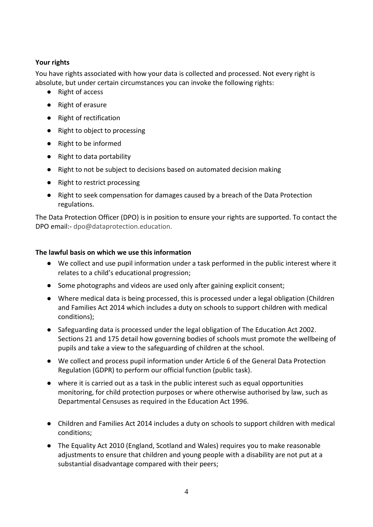## <span id="page-3-0"></span>**Your rights**

You have rights associated with how your data is collected and processed. Not every right is absolute, but under certain circumstances you can invoke the following rights:

- Right of access
- Right of erasure
- Right of rectification
- Right to object to processing
- Right to be informed
- Right to data portability
- Right to not be subject to decisions based on automated decision making
- Right to restrict processing
- Right to seek compensation for damages caused by a breach of the Data Protection regulations.

The Data Protection Officer (DPO) is in position to ensure your rights are supported. To contact the DPO email:- dpo@dataprotection.education.

## <span id="page-3-1"></span>**The lawful basis on which we use this information**

- We collect and use pupil information under a task performed in the public interest where it relates to a child's educational progression;
- Some photographs and videos are used only after gaining explicit consent;
- Where medical data is being processed, this is processed under a legal obligation (Children and Families Act 2014 which includes a duty on schools to support children with medical conditions);
- Safeguarding data is processed under the legal obligation of The Education Act 2002. Sections 21 and 175 detail how governing bodies of schools must promote the wellbeing of pupils and take a view to the safeguarding of children at the school.
- We collect and process pupil information under Article 6 of the General Data Protection Regulation (GDPR) to perform our official function (public task).
- where it is carried out as a task in the public interest such as equal opportunities monitoring, for child protection purposes or where otherwise authorised by law, such as Departmental Censuses as required in the Education Act 1996.
- Children and Families Act 2014 includes a duty on schools to support children with medical conditions;
- The Equality Act 2010 (England, Scotland and Wales) requires you to make reasonable adjustments to ensure that children and young people with a disability are not put at a substantial disadvantage compared with their peers;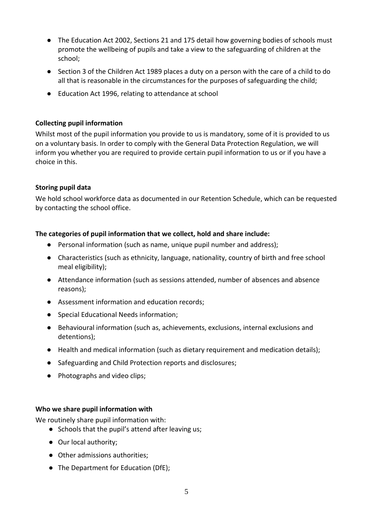- The Education Act 2002, Sections 21 and 175 detail how governing bodies of schools must promote the wellbeing of pupils and take a view to the safeguarding of children at the school;
- Section 3 of the Children Act 1989 places a duty on a person with the care of a child to do all that is reasonable in the circumstances for the purposes of safeguarding the child;
- Education Act 1996, relating to attendance at school

#### <span id="page-4-0"></span>**Collecting pupil information**

Whilst most of the pupil information you provide to us is mandatory, some of it is provided to us on a voluntary basis. In order to comply with the General Data Protection Regulation, we will inform you whether you are required to provide certain pupil information to us or if you have a choice in this.

#### <span id="page-4-1"></span>**Storing pupil data**

We hold school workforce data as documented in our Retention Schedule, which can be requested by contacting the school office.

## <span id="page-4-2"></span>**The categories of pupil information that we collect, hold and share include:**

- Personal information (such as name, unique pupil number and address);
- Characteristics (such as ethnicity, language, nationality, country of birth and free school meal eligibility);
- Attendance information (such as sessions attended, number of absences and absence reasons);
- Assessment information and education records;
- Special Educational Needs information;
- Behavioural information (such as, achievements, exclusions, internal exclusions and detentions);
- Health and medical information (such as dietary requirement and medication details);
- Safeguarding and Child Protection reports and disclosures;
- Photographs and video clips;

#### <span id="page-4-3"></span>**Who we share pupil information with**

We routinely share pupil information with:

- Schools that the pupil's attend after leaving us;
- Our local authority:
- Other admissions authorities;
- The Department for Education (DfE);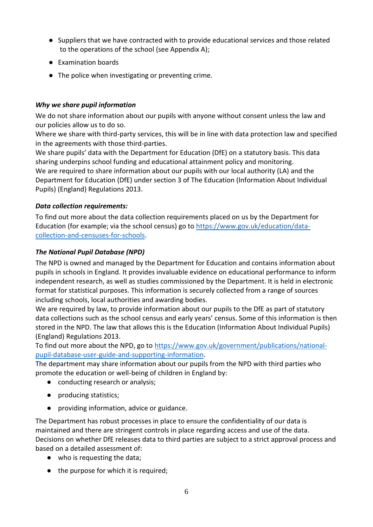- Suppliers that we have contracted with to provide educational services and those related to the operations of the school (see Appendix A);
- Examination boards
- The police when investigating or preventing crime.

## <span id="page-5-0"></span>*Why we share pupil information*

We do not share information about our pupils with anyone without consent unless the law and our policies allow us to do so.

Where we share with third-party services, this will be in line with data protection law and specified in the agreements with those third-parties.

We share pupils' data with the Department for Education (DfE) on a statutory basis. This data sharing underpins school funding and educational attainment policy and monitoring. We are required to share information about our pupils with our local authority (LA) and the Department for Education (DfE) under section 3 of The Education (Information About Individual Pupils) (England) Regulations 2013.

## <span id="page-5-1"></span>*Data collection requirements:*

To find out more about the data collection requirements placed on us by the Department for Education (for example; via the school census) go to [https://www.gov.uk/education/data](https://www.gov.uk/education/data-collection-and-censuses-for-schools)[collection-and-censuses-for-schools.](https://www.gov.uk/education/data-collection-and-censuses-for-schools)

## <span id="page-5-2"></span>*The National Pupil Database (NPD)*

The NPD is owned and managed by the Department for Education and contains information about pupils in schools in England. It provides invaluable evidence on educational performance to inform independent research, as well as studies commissioned by the Department. It is held in electronic format for statistical purposes. This information is securely collected from a range of sources including schools, local authorities and awarding bodies.

We are required by law, to provide information about our pupils to the DfE as part of statutory data collections such as the school census and early years' census. Some of this information is then stored in the NPD. The law that allows this is the Education (Information About Individual Pupils) (England) Regulations 2013.

To find out more about the NPD, go to [https://www.gov.uk/government/publications/national](https://www.gov.uk/government/publications/national-pupil-database-user-guide-and-supporting-information)[pupil-database-user-guide-and-supporting-information.](https://www.gov.uk/government/publications/national-pupil-database-user-guide-and-supporting-information)

The department may share information about our pupils from the NPD with third parties who promote the education or well-being of children in England by:

- conducting research or analysis;
- producing statistics;
- providing information, advice or guidance.

The Department has robust processes in place to ensure the confidentiality of our data is maintained and there are stringent controls in place regarding access and use of the data. Decisions on whether DfE releases data to third parties are subject to a strict approval process and based on a detailed assessment of:

- who is requesting the data;
- the purpose for which it is required;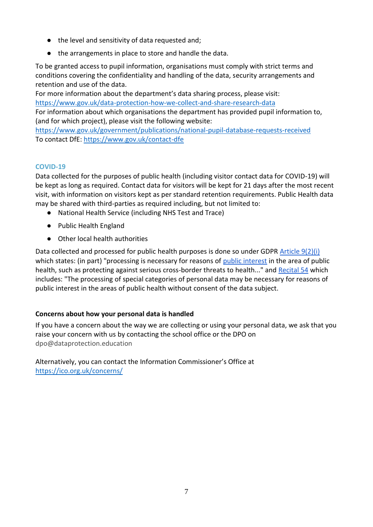- the level and sensitivity of data requested and;
- the arrangements in place to store and handle the data.

To be granted access to pupil information, organisations must comply with strict terms and conditions covering the confidentiality and handling of the data, security arrangements and retention and use of the data.

For more information about the department's data sharing process, please visit: <https://www.gov.uk/data-protection-how-we-collect-and-share-research-data>

For information about which organisations the department has provided pupil information to, (and for which project), please visit the following website:

<https://www.gov.uk/government/publications/national-pupil-database-requests-received> To contact DfE:<https://www.gov.uk/contact-dfe>

#### **COVID-19**

Data collected for the purposes of public health (including visitor contact data for COVID-19) will be kept as long as required. Contact data for visitors will be kept for 21 days after the most recent visit, with information on visitors kept as per standard retention requirements. Public Health data may be shared with third-parties as required including, but not limited to:

- National Health Service (including NHS Test and Trace)
- Public Health England
- Other local health authorities

Data collected and processed for public health purposes is done so under GDPR [Article 9\(2\)\(i\)](https://gdpr-info.eu/art-9-gdpr/) which states: (in part) "processing is necessary for reasons of [public interest](https://kb.dataprotection.education/component/seoglossary/1-data-protection-definitions/public-interest) in the area of public health, such as protecting against serious cross-border threats to health..." and [Recital 54](https://gdpr-info.eu/recitals/no-54/) which includes: "The processing of special categories of personal data may be necessary for reasons of public interest in the areas of public health without consent of the data subject.

#### <span id="page-6-0"></span>**Concerns about how your personal data is handled**

If you have a concern about the way we are collecting or using your personal data, we ask that you raise your concern with us by contacting the school office or the DPO on dpo@dataprotection.education

Alternatively, you can contact the Information Commissioner's Office at <https://ico.org.uk/concerns/>